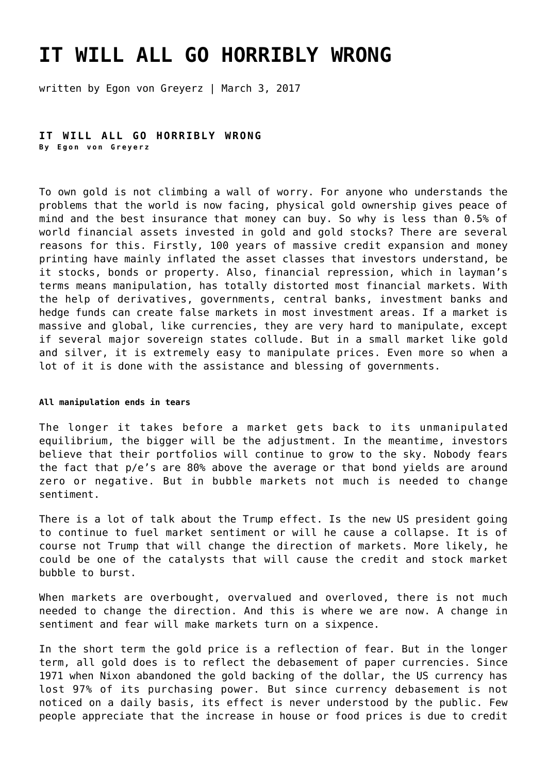# **[IT WILL ALL GO HORRIBLY WRONG](https://goldswitzerland.com/it-will-go-horribly-wrong/)**

written by Egon von Greyerz | March 3, 2017

**IT WILL ALL GO HORRIBLY WRONG By Egon von Greyerz**

To own gold is not climbing a wall of worry. For anyone who understands the problems that the world is now facing, physical gold ownership gives peace of mind and the best insurance that money can buy. So why is less than 0.5% of world financial assets invested in gold and gold stocks? There are several reasons for this. Firstly, 100 years of massive credit expansion and money printing have mainly inflated the asset classes that investors understand, be it stocks, bonds or property. Also, financial repression, which in layman's terms means manipulation, has totally distorted most financial markets. With the help of derivatives, governments, central banks, investment banks and hedge funds can create false markets in most investment areas. If a market is massive and global, like currencies, they are very hard to manipulate, except if several major sovereign states collude. But in a small market like gold and silver, it is extremely easy to manipulate prices. Even more so when a lot of it is done with the assistance and blessing of governments.

#### **All manipulation ends in tears**

The longer it takes before a market gets back to its unmanipulated equilibrium, the bigger will be the adjustment. In the meantime, investors believe that their portfolios will continue to grow to the sky. Nobody fears the fact that p/e's are 80% above the average or that bond yields are around zero or negative. But in bubble markets not much is needed to change sentiment.

There is a lot of talk about the Trump effect. Is the new US president going to continue to fuel market sentiment or will he cause a collapse. It is of course not Trump that will change the direction of markets. More likely, he could be one of the catalysts that will cause the credit and stock market bubble to burst.

When markets are overbought, overvalued and overloved, there is not much needed to change the direction. And this is where we are now. A change in sentiment and fear will make markets turn on a sixpence.

In the short term the gold price is a reflection of fear. But in the longer term, all gold does is to reflect the debasement of paper currencies. Since 1971 when Nixon abandoned the gold backing of the dollar, the US currency has lost 97% of its purchasing power. But since currency debasement is not noticed on a daily basis, its effect is never understood by the public. Few people appreciate that the increase in house or food prices is due to credit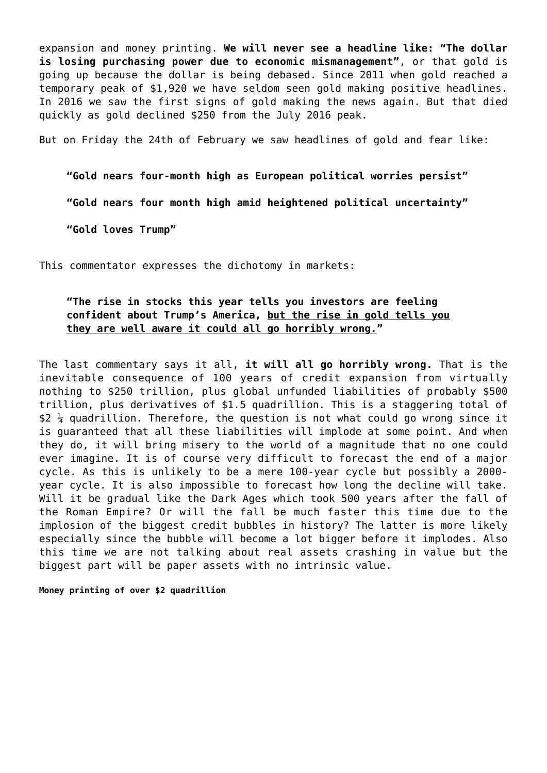expansion and money printing. **We will never see a headline like: "The dollar is losing purchasing power due to economic mismanagement"**, or that gold is going up because the dollar is being debased. Since 2011 when gold reached a temporary peak of \$1,920 we have seldom seen gold making positive headlines. In 2016 we saw the first signs of gold making the news again. But that died quickly as gold declined \$250 from the July 2016 peak.

But on Friday the 24th of February we saw headlines of gold and fear like:

**"Gold nears four-month high as European political worries persist"**

**"Gold nears four month high amid heightened political uncertainty"**

**"Gold loves Trump"**

This commentator expresses the dichotomy in markets:

## **"The rise in stocks this year tells you investors are feeling confident about Trump's America, but the rise in gold tells you they are well aware it could all go horribly wrong."**

The last commentary says it all, **it will all go horribly wrong.** That is the inevitable consequence of 100 years of credit expansion from virtually nothing to \$250 trillion, plus global unfunded liabilities of probably \$500 trillion, plus derivatives of \$1.5 quadrillion. This is a staggering total of  $$2 \frac{1}{4}$  quadrillion. Therefore, the question is not what could go wrong since it is guaranteed that all these liabilities will implode at some point. And when they do, it will bring misery to the world of a magnitude that no one could ever imagine. It is of course very difficult to forecast the end of a major cycle. As this is unlikely to be a mere 100-year cycle but possibly a 2000 year cycle. It is also impossible to forecast how long the decline will take. Will it be gradual like the Dark Ages which took 500 years after the fall of the Roman Empire? Or will the fall be much faster this time due to the implosion of the biggest credit bubbles in history? The latter is more likely especially since the bubble will become a lot bigger before it implodes. Also this time we are not talking about real assets crashing in value but the biggest part will be paper assets with no intrinsic value.

**Money printing of over \$2 quadrillion**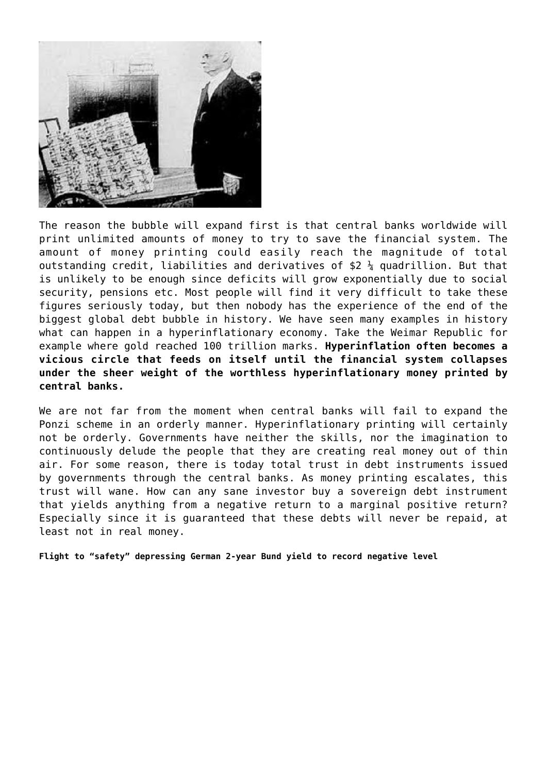

The reason the bubble will expand first is that central banks worldwide will print unlimited amounts of money to try to save the financial system. The amount of money printing could easily reach the magnitude of total outstanding credit, liabilities and derivatives of  $$2 \frac{1}{4}$  quadrillion. But that is unlikely to be enough since deficits will grow exponentially due to social security, pensions etc. Most people will find it very difficult to take these figures seriously today, but then nobody has the experience of the end of the biggest global debt bubble in history. We have seen many examples in history what can happen in a hyperinflationary economy. Take the Weimar Republic for example where gold reached 100 trillion marks. **Hyperinflation often becomes a vicious circle that feeds on itself until the financial system collapses under the sheer weight of the worthless hyperinflationary money printed by central banks.**

We are not far from the moment when central banks will fail to expand the Ponzi scheme in an orderly manner. Hyperinflationary printing will certainly not be orderly. Governments have neither the skills, nor the imagination to continuously delude the people that they are creating real money out of thin air. For some reason, there is today total trust in debt instruments issued by governments through the central banks. As money printing escalates, this trust will wane. How can any sane investor buy a sovereign debt instrument that yields anything from a negative return to a marginal positive return? Especially since it is guaranteed that these debts will never be repaid, at least not in real money.

**Flight to "safety" depressing German 2-year Bund yield to record negative level**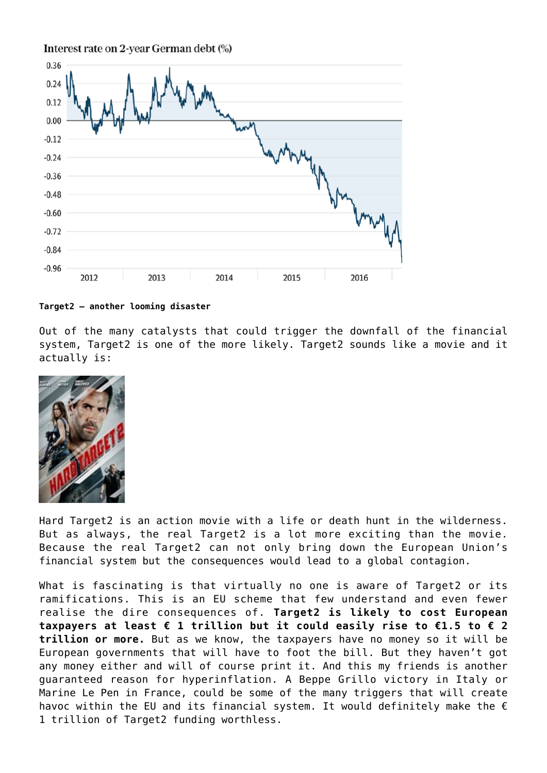Interest rate on 2-year German debt (%)



#### **Target2 – another looming disaster**

Out of the many catalysts that could trigger the downfall of the financial system, Target2 is one of the more likely. Target2 sounds like a movie and it actually is:



Hard Target2 is an action movie with a life or death hunt in the wilderness. But as always, the real Target2 is a lot more exciting than the movie. Because the real Target2 can not only bring down the European Union's financial system but the consequences would lead to a global contagion.

What is fascinating is that virtually no one is aware of Target2 or its ramifications. This is an EU scheme that few understand and even fewer realise the dire consequences of. **Target2 is likely to cost European taxpayers at least € 1 trillion but it could easily rise to €1.5 to € 2 trillion or more.** But as we know, the taxpayers have no money so it will be European governments that will have to foot the bill. But they haven't got any money either and will of course print it. And this my friends is another guaranteed reason for hyperinflation. A Beppe Grillo victory in Italy or Marine Le Pen in France, could be some of the many triggers that will create havoc within the EU and its financial system. It would definitely make the  $\epsilon$ 1 trillion of Target2 funding worthless.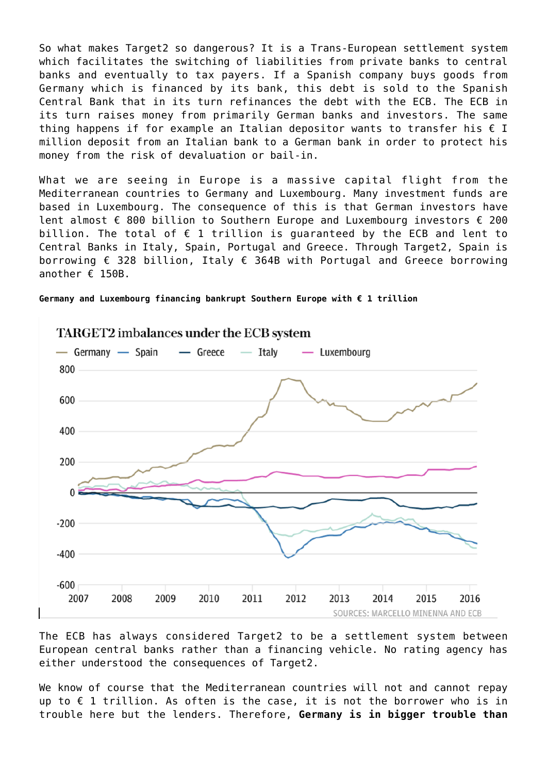So what makes Target2 so dangerous? It is a Trans-European settlement system which facilitates the switching of liabilities from private banks to central banks and eventually to tax payers. If a Spanish company buys goods from Germany which is financed by its bank, this debt is sold to the Spanish Central Bank that in its turn refinances the debt with the ECB. The ECB in its turn raises money from primarily German banks and investors. The same thing happens if for example an Italian depositor wants to transfer his  $\epsilon$  I million deposit from an Italian bank to a German bank in order to protect his money from the risk of devaluation or bail-in.

What we are seeing in Europe is a massive capital flight from the Mediterranean countries to Germany and Luxembourg. Many investment funds are based in Luxembourg. The consequence of this is that German investors have lent almost € 800 billion to Southern Europe and Luxembourg investors  $∈$  200 billion. The total of  $f$  1 trillion is quaranteed by the ECB and lent to Central Banks in Italy, Spain, Portugal and Greece. Through Target2, Spain is borrowing € 328 billion, Italy € 364B with Portugal and Greece borrowing another  $\epsilon$  150B.

**Germany and Luxembourg financing bankrupt Southern Europe with € 1 trillion**



The ECB has always considered Target2 to be a settlement system between European central banks rather than a financing vehicle. No rating agency has either understood the consequences of Target2.

We know of course that the Mediterranean countries will not and cannot repay up to  $f$  1 trillion. As often is the case, it is not the borrower who is in trouble here but the lenders. Therefore, **Germany is in bigger trouble than**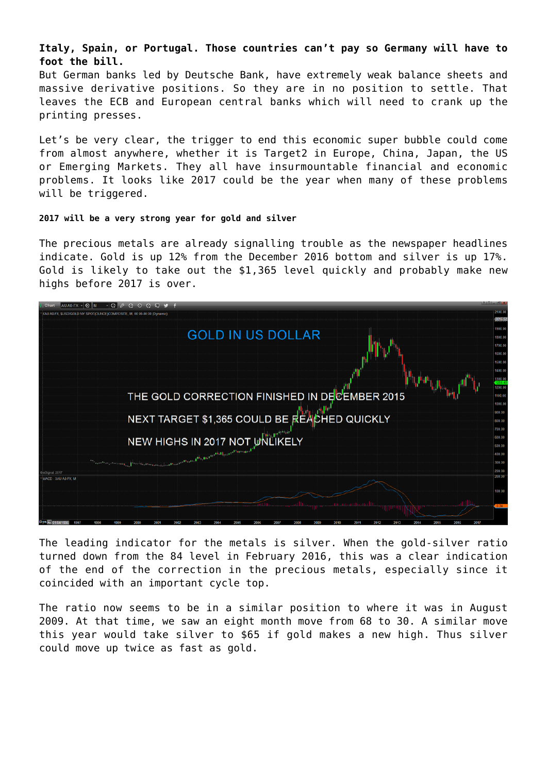## **Italy, Spain, or Portugal. Those countries can't pay so Germany will have to foot the bill.**

But German banks led by Deutsche Bank, have extremely weak balance sheets and massive derivative positions. So they are in no position to settle. That leaves the ECB and European central banks which will need to crank up the printing presses.

Let's be very clear, the trigger to end this economic super bubble could come from almost anywhere, whether it is Target2 in Europe, China, Japan, the US or Emerging Markets. They all have insurmountable financial and economic problems. It looks like 2017 could be the year when many of these problems will be triggered.

### **2017 will be a very strong year for gold and silver**

The precious metals are already signalling trouble as the newspaper headlines indicate. Gold is up 12% from the December 2016 bottom and silver is up 17%. Gold is likely to take out the \$1,365 level quickly and probably make new highs before 2017 is over.

| ∣⊙!⊯<br>$\cdot$ 0<br>$\Box$<br>$\odot$<br>െ<br>ு                                                                |                    |
|-----------------------------------------------------------------------------------------------------------------|--------------------|
| SUSD/GOLD NY SPOT(OUNCE)COMPOSITE, M, 00:00-00:00 (Dynamic)                                                     | 2100.00            |
|                                                                                                                 | 2015.5             |
| <b>GOLD IN US DOLLAR</b>                                                                                        | 1900.0             |
|                                                                                                                 | 1800.00            |
|                                                                                                                 | 1700.0             |
|                                                                                                                 | 1600.00            |
|                                                                                                                 | 1500.00            |
|                                                                                                                 | 1400.00            |
|                                                                                                                 | 1300.00<br>1200.00 |
|                                                                                                                 | 1100.00            |
| THE GOLD CORRECTION FINISHED IN DECEMBER 2015                                                                   | 1000.0             |
|                                                                                                                 | 900.00             |
| NEXT TARGET \$1,365 COULD BE REACHED QUICKLY                                                                    | 800.00             |
|                                                                                                                 | 700.00             |
|                                                                                                                 | 600.00             |
| NEW HIGHS IN 2017 NOT UNLIKELY                                                                                  | 500.00             |
| The street of the street of the street of the street of the street of the street of the street of the street of | 400.00             |
|                                                                                                                 | 300.00             |
| ceSignal, 2017                                                                                                  | 200.00             |
| *MACD - XAU A0 FX, M                                                                                            | 200.00             |
|                                                                                                                 | 100.00             |
|                                                                                                                 |                    |
|                                                                                                                 |                    |
|                                                                                                                 |                    |
|                                                                                                                 |                    |

The leading indicator for the metals is silver. When the gold-silver ratio turned down from the 84 level in February 2016, this was a clear indication of the end of the correction in the precious metals, especially since it coincided with an important cycle top.

The ratio now seems to be in a similar position to where it was in August 2009. At that time, we saw an eight month move from 68 to 30. A similar move this year would take silver to \$65 if gold makes a new high. Thus silver could move up twice as fast as gold.